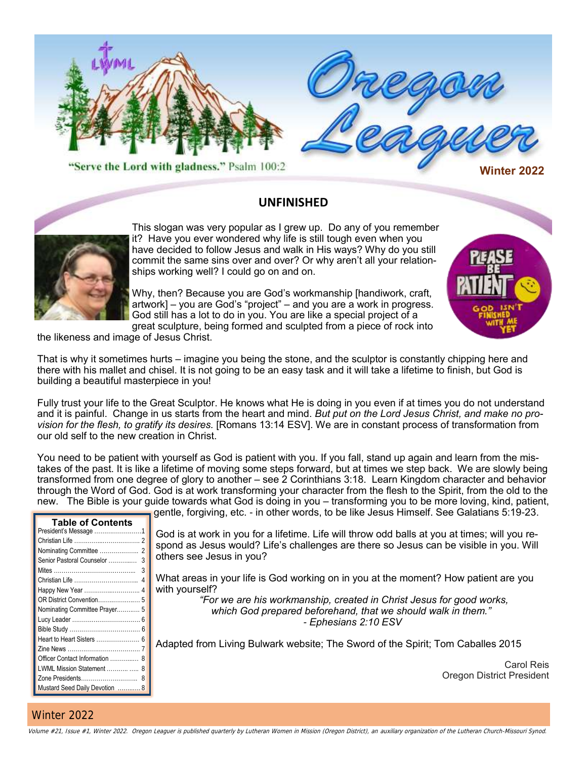



This slogan was very popular as I grew up. Do any of you remember it? Have you ever wondered why life is still tough even when you have decided to follow Jesus and walk in His ways? Why do you still commit the same sins over and over? Or why aren't all your relationships working well? I could go on and on.

**UNFINISHED**

Why, then? Because you are God's workmanship [handiwork, craft, artwork] – you are God's "project" – and you are a work in progress. God still has a lot to do in you. You are like a special project of a great sculpture, being formed and sculpted from a piece of rock into



the likeness and image of Jesus Christ.

That is why it sometimes hurts – imagine you being the stone, and the sculptor is constantly chipping here and there with his mallet and chisel. It is not going to be an easy task and it will take a lifetime to finish, but God is building a beautiful masterpiece in you!

Fully trust your life to the Great Sculptor. He knows what He is doing in you even if at times you do not understand and it is painful. Change in us starts from the heart and mind. *But put on the Lord Jesus Christ, and make no provision for the flesh, to gratify its desires.* [Romans 13:14 ESV]. We are in constant process of transformation from our old self to the new creation in Christ.

You need to be patient with yourself as God is patient with you. If you fall, stand up again and learn from the mistakes of the past. It is like a lifetime of moving some steps forward, but at times we step back. We are slowly being transformed from one degree of glory to another – see 2 Corinthians 3:18. Learn Kingdom character and behavior through the Word of God. God is at work transforming your character from the flesh to the Spirit, from the old to the new. The Bible is your guide towards what God is doing in you – transforming you to be more loving, kind, patient,

gentle, forgiving, etc. - in other words, to be like Jesus Himself. See Galatians 5:19-23.

| <b>Table of Contents</b>       |         |
|--------------------------------|---------|
|                                | God is  |
|                                | spond a |
| Senior Pastoral Counselor<br>3 | others: |
| 3                              |         |
| Christian Life<br>4            | What a  |
|                                | with yo |
|                                |         |
| Nominating Committee Prayer 5  |         |
|                                |         |
|                                |         |
|                                | Adapte  |
|                                |         |
| Officer Contact Information  8 |         |
|                                |         |
| Mustard Seed Daily Devotion  8 |         |
| LWML Mission Statement   8     |         |

at work in you for a lifetime. Life will throw odd balls at you at times; will you reas Jesus would? Life's challenges are there so Jesus can be visible in you. Will see Jesus in you?

I reas in your life is God working on in you at the moment? How patient are you urself?

*"For we are his workmanship, created in Christ Jesus for good works, which God prepared beforehand, that we should walk in them." - Ephesians 2:10 ESV*

d from Living Bulwark website; The Sword of the Spirit; Tom Caballes 2015

Carol Reis Oregon District President

### Winter 2022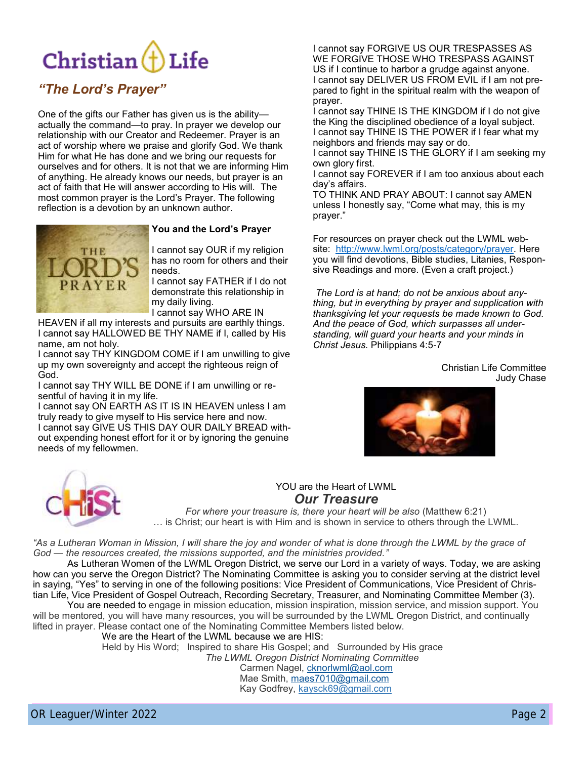## Christian $(f)$ Life

### *"The Lord's Prayer"*

One of the gifts our Father has given us is the ability actually the command—to pray. In prayer we develop our relationship with our Creator and Redeemer. Prayer is an act of worship where we praise and glorify God. We thank Him for what He has done and we bring our requests for ourselves and for others. It is not that we are informing Him of anything. He already knows our needs, but prayer is an act of faith that He will answer according to His will. The most common prayer is the Lord's Prayer. The following reflection is a devotion by an unknown author.



#### **You and the Lord's Prayer**

I cannot say OUR if my religion has no room for others and their needs.

I cannot say FATHER if I do not demonstrate this relationship in my daily living.

I cannot say WHO ARE IN

HEAVEN if all my interests and pursuits are earthly things. I cannot say HALLOWED BE THY NAME if I, called by His name, am not holy.

I cannot say THY KINGDOM COME if I am unwilling to give up my own sovereignty and accept the righteous reign of God.

I cannot say THY WILL BE DONE if I am unwilling or resentful of having it in my life.

I cannot say ON EARTH AS IT IS IN HEAVEN unless I am truly ready to give myself to His service here and now. I cannot say GIVE US THIS DAY OUR DAILY BREAD without expending honest effort for it or by ignoring the genuine needs of my fellowmen.

I cannot say FORGIVE US OUR TRESPASSES AS WE FORGIVE THOSE WHO TRESPASS AGAINST US if I continue to harbor a grudge against anyone. I cannot say DELIVER US FROM EVIL if I am not prepared to fight in the spiritual realm with the weapon of prayer.

I cannot say THINE IS THE KINGDOM if I do not give the King the disciplined obedience of a loyal subject. I cannot say THINE IS THE POWER if I fear what my neighbors and friends may say or do.

I cannot say THINE IS THE GLORY if I am seeking my own glory first.

I cannot say FOREVER if I am too anxious about each day's affairs.

TO THINK AND PRAY ABOUT: I cannot say AMEN unless I honestly say, "Come what may, this is my prayer."

For resources on prayer check out the LWML website: [http://www.lwml.org/posts/category/prayer.](http://www.lwml.org/posts/category/prayer) Here you will find devotions, Bible studies, Litanies, Responsive Readings and more. (Even a craft project.)

*The Lord is at hand; do not be anxious about anything, but in everything by prayer and supplication with thanksgiving let your requests be made known to God. And the peace of God, which surpasses all understanding, will guard your hearts and your minds in Christ Jesus.* Philippians 4:5-7

> Christian Life Committee Judy Chase





# *Our Treasure*

*For where your treasure is, there your heart will be also* (Matthew 6:21) … is Christ; our heart is with Him and is shown in service to others through the LWML.

*"As a Lutheran Woman in Mission, I will share the joy and wonder of what is done through the LWML by the grace of God — the resources created, the missions supported, and the ministries provided."*

**Example 19:** YOU are the Heart of LWML.<br>
For where your treasure is, there your heart will be also (Matthew 6:21)<br>
... is Christ; our heart is with Him and is shown in service to others through the LWML.<br> *in Mission, I* As Lutheran Women of the LWML Oregon District, we serve our Lord in a variety of ways. Today, we are asking how can you serve the Oregon District? The Nominating Committee is asking you to consider serving at the district level in saying, "Yes" to serving in one of the following positions: Vice President of Communications, Vice President of Christian Life, Vice President of Gospel Outreach, Recording Secretary, Treasurer, and Nominating Committee Member (3).

You are needed to engage in mission education, mission inspiration, mission service, and mission support. You will be mentored, you will have many resources, you will be surrounded by the LWML Oregon District, and continually lifted in prayer. Please contact one of the Nominating Committee Members listed below.

We are the Heart of the LWML because we are HIS:

Held by His Word; Inspired to share His Gospel; and Surrounded by His grace

*The LWML Oregon District Nominating Committee* Carmen Nagel, [cknorlwml@aol.com](about:blank)

Mae Smith, [maes7010@gmail.com](about:blank) Kay Godfrey, kaysck69@gmail.com

OR Leaguer/Winter 2022 **Camera 2019 Page 2**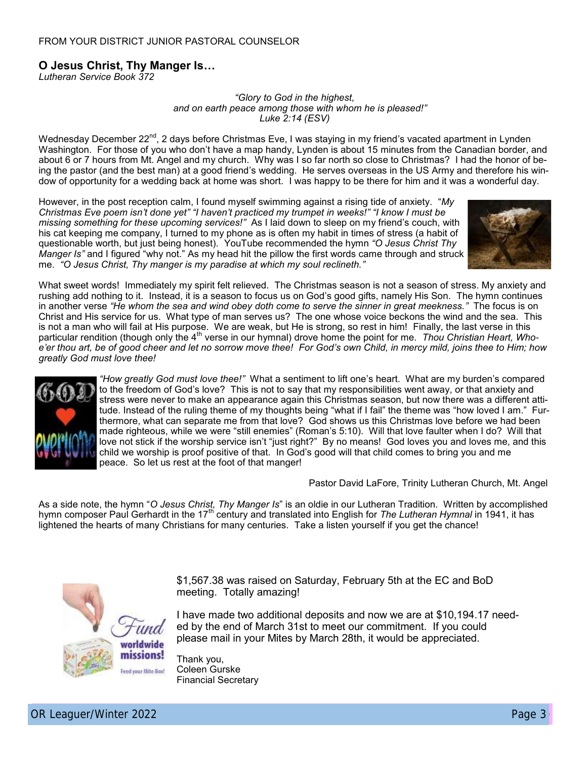### **O Jesus Christ, Thy Manger Is…**

*Lutheran Service Book 372*

*"Glory to God in the highest, and on earth peace among those with whom he is pleased!" Luke 2:14 (ESV)*

Wednesday December 22<sup>nd</sup>, 2 days before Christmas Eve, I was staying in my friend's vacated apartment in Lynden Washington. For those of you who don't have a map handy, Lynden is about 15 minutes from the Canadian border, and about 6 or 7 hours from Mt. Angel and my church. Why was I so far north so close to Christmas? I had the honor of being the pastor (and the best man) at a good friend's wedding. He serves overseas in the US Army and therefore his window of opportunity for a wedding back at home was short. I was happy to be there for him and it was a wonderful day.

However, in the post reception calm, I found myself swimming against a rising tide of anxiety. "*My Christmas Eve poem isn't done yet" "I haven't practiced my trumpet in weeks!" "I know I must be missing something for these upcoming services!"* As I laid down to sleep on my friend's couch, with his cat keeping me company, I turned to my phone as is often my habit in times of stress (a habit of questionable worth, but just being honest). YouTube recommended the hymn *"O Jesus Christ Thy Manger Is"* and I figured "why not." As my head hit the pillow the first words came through and struck me. *"O Jesus Christ, Thy manger is my paradise at which my soul reclineth."*



What sweet words! Immediately my spirit felt relieved. The Christmas season is not a season of stress. My anxiety and rushing add nothing to it. Instead, it is a season to focus us on God's good gifts, namely His Son. The hymn continues in another verse *"He whom the sea and wind obey doth come to serve the sinner in great meekness."* The focus is on Christ and His service for us. What type of man serves us? The one whose voice beckons the wind and the sea. This is not a man who will fail at His purpose. We are weak, but He is strong, so rest in him! Finally, the last verse in this particular rendition (though only the 4<sup>th</sup> verse in our hymnal) drove home the point for me. *Thou Christian Heart, Whoe'er thou art, be of good cheer and let no sorrow move thee! For God's own Child, in mercy mild, joins thee to Him; how greatly God must love thee!*



*"How greatly God must love thee!"* What a sentiment to lift one's heart. What are my burden's compared to the freedom of God's love? This is not to say that my responsibilities went away, or that anxiety and stress were never to make an appearance again this Christmas season, but now there was a different attitude. Instead of the ruling theme of my thoughts being "what if I fail" the theme was "how loved I am." Furthermore, what can separate me from that love? God shows us this Christmas love before we had been made righteous, while we were "still enemies" (Roman's 5:10). Will that love faulter when I do? Will that love not stick if the worship service isn't "just right?" By no means! God loves you and loves me, and this child we worship is proof positive of that. In God's good will that child comes to bring you and me peace. So let us rest at the foot of that manger!

Pastor David LaFore, Trinity Lutheran Church, Mt. Angel

As a side note, the hymn "*O Jesus Christ, Thy Manger Is*" is an oldie in our Lutheran Tradition. Written by accomplished hymn composer Paul Gerhardt in the 17<sup>th</sup> century and translated into English for *The Lutheran Hymnal* in 1941, it has lightened the hearts of many Christians for many centuries. Take a listen yourself if you get the chance!



\$1,567.38 was raised on Saturday, February 5th at the EC and BoD meeting. Totally amazing!

I have made two additional deposits and now we are at \$10,194.17 needed by the end of March 31st to meet our commitment. If you could please mail in your Mites by March 28th, it would be appreciated.

Thank you, Coleen Gurske Financial Secretary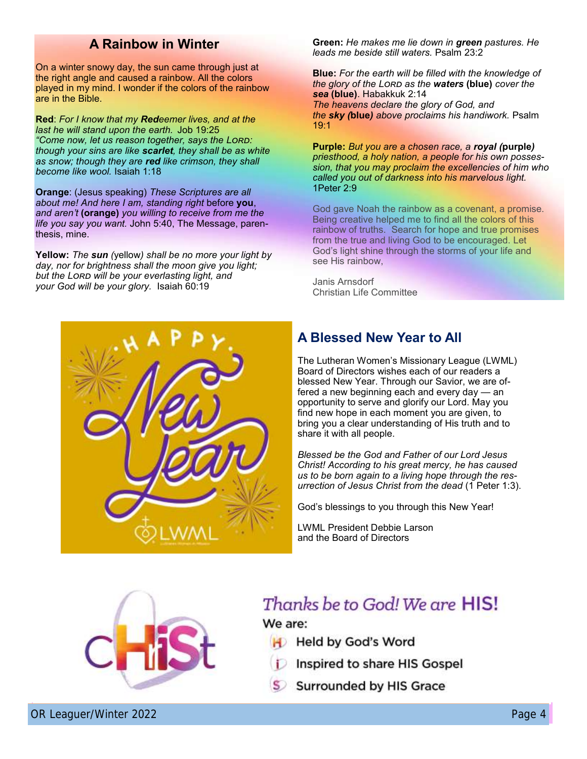### **A Rainbow in Winter**

On a winter snowy day, the sun came through just at the right angle and caused a rainbow. All the colors played in my mind. I wonder if the colors of the rainbow are in the Bible.

**Red**: *For I know that my Redeemer lives, and at the last he will stand upon the earth.* Job 19:25 *"Come now, let us reason together, says the Lord: though your sins are like scarlet, they shall be as white as snow; though they are red like crimson, they shall become like wool.* Isaiah 1:18

**Orange**: (Jesus speaking) *These Scriptures are all about me! And here I am, standing right* before **you**, *and aren't* **(orange)** *you willing to receive from me the life you say you want.* John 5:40, The Message, parenthesis, mine.

**Yellow:** *The sun (*yellow*) shall be no more your light by day, nor for brightness shall the moon give you light; but the Lord will be your everlasting light, and your God will be your glory.* Isaiah 60:19

**Green:** *He makes me lie down in green pastures. He leads me beside still waters.* Psalm 23:2

**Blue:** *For the earth will be filled with the knowledge of the glory of the Lord as the waters* **(blue)** *cover the sea* **(blue)**. Habakkuk 2:14 *The heavens declare the glory of God, and the sky (***blue***) above proclaims his handiwork.* Psalm  $19.1$ 

**Purple:** *But you are a chosen race, a royal (***purple***) priesthood, a holy nation, a people for his own possession, that you may proclaim the excellencies of him who called you out of darkness into his marvelous light.*  1Peter 2:9

God gave Noah the rainbow as a covenant, a promise. Being creative helped me to find all the colors of this rainbow of truths. Search for hope and true promises from the true and living God to be encouraged. Let God's light shine through the storms of your life and see His rainbow,

Janis Arnsdorf Christian Life Committee

# **A Blessed New Year to All** The Lutheran Women's Missionary League (LWML)

Board of Directors wishes each of our readers a blessed New Year. Through our Savior, we are offered a new beginning each and every day — an opportunity to serve and glorify our Lord. May you find new hope in each moment you are given, to bring you a clear understanding of His truth and to share it with all people.

*Blessed be the God and Father of our Lord Jesus Christ! According to his great mercy, he has caused us to be born again to a living hope through the resurrection of Jesus Christ from the dead* (1 Peter 1:3).

God's blessings to you through this New Year!

LWML President Debbie Larson and the Board of Directors



## Thanks be to God! We are **HIS!** We are:

- **H** Held by God's Word
	- Inspired to share HIS Gospel
- **Surrounded by HIS Grace**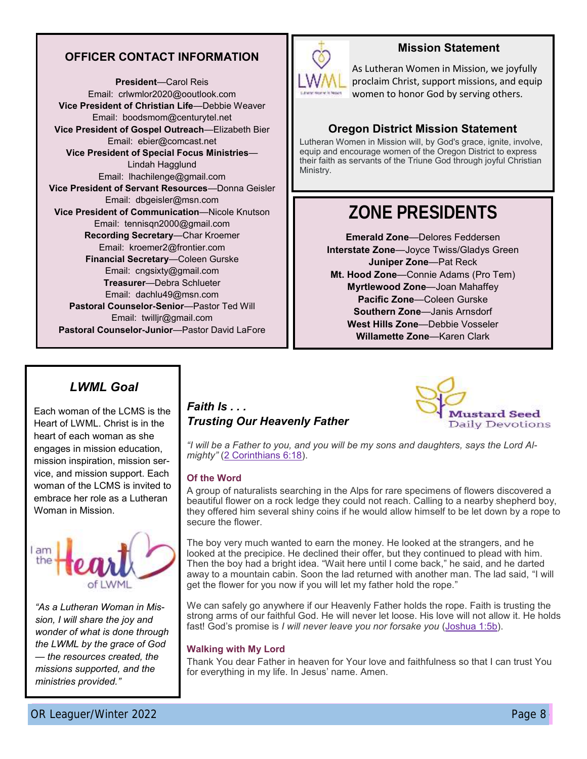### **OFFICER CONTACT INFORMATION**

**President**—Carol Reis Email: crlwmlor2020@ooutlook.com **Vice President of Christian Life**—Debbie Weaver Email: boodsmom@centurytel.net **Vice President of Gospel Outreach**—Elizabeth Bier Email: ebier@comcast.net **Vice President of Special Focus Ministries**— Lindah Hagglund Email: lhachilenge@gmail.com **Vice President of Servant Resources**—Donna Geisler Email: dbgeisler@msn.com **Vice President of Communication**—Nicole Knutson Email: tennisqn2000@gmail.com **Recording Secretary**—Char Kroemer Email: kroemer2@frontier.com **Financial Secretary**—Coleen Gurske Email: cngsixty@gmail.com **Treasurer**—Debra Schlueter Email: dachlu49@msn.com **Pastoral Counselor-Senior**—Pastor Ted Will Email: twilljr@gmail.com **Pastoral Counselor-Junior**—Pastor David LaFore

### **Mission Statement**

As Lutheran Women in Mission, we joyfully proclaim Christ, support missions, and equip women to honor God by serving others.

### **Oregon District Mission Statement**

Lutheran Women in Mission will, by God's grace, ignite, involve, equip and encourage women of the Oregon District to express their faith as servants of the Triune God through joyful Christian Ministry.

## **ZONE PRESIDENTS**

**Emerald Zone**—Delores Feddersen **Interstate Zone**—Joyce Twiss/Gladys Green **Juniper Zone**—Pat Reck **Mt. Hood Zone**—Connie Adams (Pro Tem) **Myrtlewood Zone**—Joan Mahaffey **Pacific Zone**—Coleen Gurske **Southern Zone**—Janis Arnsdorf **West Hills Zone**—Debbie Vosseler **Willamette Zone**—Karen Clark

### *LWML Goal*

Each woman of the LCMS is the Heart of LWML. Christ is in the heart of each woman as she engages in mission education, mission inspiration, mission service, and mission support. Each woman of the LCMS is invited to embrace her role as a Lutheran Woman in Mission.



*"As a Lutheran Woman in Mission, I will share the joy and wonder of what is done through the LWML by the grace of God — the resources created, the missions supported, and the ministries provided."*

# *Trusting Our Heavenly Father*



*"I will be a Father to you, and you will be my sons and daughters, says the Lord Almighty"* ([2 Corinthians 6:18\)](https://na01.safelinks.protection.outlook.com/?url=https%3A%2F%2Fr20.rs6.net%2Ftn.jsp%3Ff%3D001_aZP7wi_b-EH3dgXr_8vI_kT-EFyXCv8H9Zi9iYNKznBbS8L3tiLqueufojzY_bQZJnGw-v5LlBtOc-uvp5ftsRbaB7tB3XYkbMvGI_l4np9eDea3D3ChTvXCmNoatgrdJzmQJLX5UqirNPlQfE9mX5lRmhevOpYvJ0t).

### **Of the Word**

A group of naturalists searching in the Alps for rare specimens of flowers discovered a beautiful flower on a rock ledge they could not reach. Calling to a nearby shepherd boy, they offered him several shiny coins if he would allow himself to be let down by a rope to secure the flower.

White. Christial in the signal **Faith Is ...**<br>
In the deal of deach woman as she<br>
(ges in mission equation,  $\frac{m}{2}$  if  $\frac{m}{2}$  Committents is the *Secultion* of the Word<br>
In the CMS is inviend to deach to you, and you The boy very much wanted to earn the money. He looked at the strangers, and he looked at the precipice. He declined their offer, but they continued to plead with him. Then the boy had a bright idea. "Wait here until I come back," he said, and he darted away to a mountain cabin. Soon the lad returned with another man. The lad said, "I will get the flower for you now if you will let my father hold the rope."

We can safely go anywhere if our Heavenly Father holds the rope. Faith is trusting the strong arms of our faithful God. He will never let loose. His love will not allow it. He holds fast! God's promise is *I will never leave you nor forsake you* ([Joshua 1:5b\)](https://na01.safelinks.protection.outlook.com/?url=https%3A%2F%2Fr20.rs6.net%2Ftn.jsp%3Ff%3D001_aZP7wi_b-EH3dgXr_8vI_kT-EFyXCv8H9Zi9iYNKznBbS8L3tiLqueufojzY_bQjo76W_z8DbwmkVm_8kIcwbO7b63caNZaNdU7wb8qm3ObBa1K-knnnxsX_A66k7NGweP7E5Cn2ma9QsQhzW349QUbY2ns6AhzBG99).

#### **Walking with My Lord**

Thank You dear Father in heaven for Your love and faithfulness so that I can trust You for everything in my life. In Jesus' name. Amen.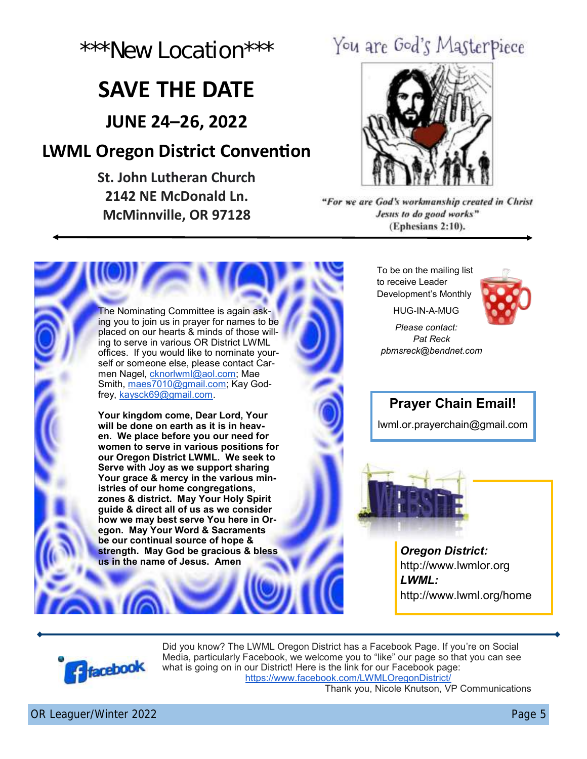

## **SAVE THE DATE**

**JUNE 24–26, 2022**

## **LWML Oregon District Convention**

**St. John Lutheran Church 2142 NE McDonald Ln. McMinnville, OR 97128**



ing you to join us in prayer for names to be placed on our hearts & minds of those willing to serve in various OR District LWML offices. If you would like to nominate yourself or someone else, please contact Carmen Nagel, [cknorlwml@aol.com;](mailto:cknorlwml@aol.com) Mae Smith, [maes7010@gmail.com;](mailto:maes7010@gmail.com) Kay Godfrey, [kaysck69@gmail.com.](mailto:kaysck69@gmail.com)

**2021**<br>
2021 The DATE<br>
IUNE 24-26, 2022<br>
WML Oregon District Convention<br>
2142 NE Wednesday Christian Church 2142 New Locations of the Convention of the Convention of the Convention<br>
2022 NEW LOCATION 2022<br>
MCMINIMUM CONSTA The Nomination Committee is again ask-<br>
placed on our heath & minds which the similar term is a mind on the similar term is a mind on the new state of the similar term is a minimum and the place of the similar term is a mi **Your kingdom come, Dear Lord, Your will be done on earth as it is in heaven. We place before you our need for women to serve in various positions for our Oregon District LWML. We seek to Serve with Joy as we support sharing Your grace & mercy in the various ministries of our home congregations, zones & district. May Your Holy Spirit guide & direct all of us as we consider how we may best serve You here in Oregon. May Your Word & Sacraments be our continual source of hope & strength. May God be gracious & bless us in the name of Jesus. Amen**

To be on the mailing list to receive Leader Development's Monthly

HUG-IN-A-MUG

*Please contact: Pat Reck pbmsreck@bendnet.com*



**Prayer Chain Email!**

lwml.or.prayerchain@gmail.com



*Oregon District:*  http://www.lwmlor.org *LWML:*  http://www.lwml.org/home



Did you know? The LWML Oregon District has a Facebook Page. If you're on Social Media, particularly Facebook, we welcome you to "like" our page so that you can see what is going on in our District! Here is the link for our Facebook page: [https://www.facebook.com/LWMLOregonDistrict/](https://na01.safelinks.protection.outlook.com/?url=https%3A%2F%2Fwww.facebook.com%2FLWMLOregonDistrict%2F&data=04%7C01%7C%7Cf2ca5b71c75f4fafce6708d8dd9f72f0%7C84df9e7fe9f640afb435aaaaaaaaaaaa%7C1%7C0%7C637503024184668011%7CUnknown%7CTWFpbGZsb3d8eyJWIjoiMC4wLj)

Thank you, Nicole Knutson, VP Communications

OR Leaguer/Winter 2022 **Page 5**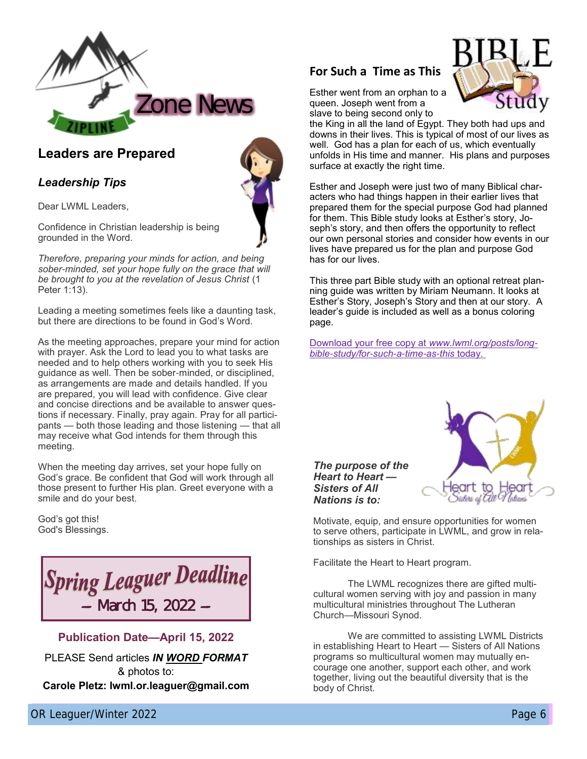

### **Leaders are Prepared**

### *Leadership Tips*

Dear LWML Leaders,

Confidence in Christian leadership is being grounded in the Word.

*Therefore, preparing your minds for action, and being sober-minded, set your hope fully on the grace that will be brought to you at the revelation of Jesus Christ* (1 Peter 1:13).

Leading a meeting sometimes feels like a daunting task, but there are directions to be found in God's Word.

As the meeting approaches, prepare your mind for action with prayer. Ask the Lord to lead you to what tasks are needed and to help others working with you to seek His guidance as well. Then be sober-minded, or disciplined, as arrangements are made and details handled. If you are prepared, you will lead with confidence. Give clear and concise directions and be available to answer questions if necessary. Finally, pray again. Pray for all participants — both those leading and those listening — that all may receive what God intends for them through this meeting.

When the meeting day arrives, set your hope fully on God's grace. Be confident that God will work through all those present to further His plan. Greet everyone with a smile and do your best.

God's got this! God's Blessings.



### **Publication Date—April 15, 2022**

PLEASE Send articles *IN WORD FORMAT*  & photos to: **Carole Pletz: lwml.or.leaguer@gmail.com**



Esther went from an orphan to a queen. Joseph went from a slave to being second only to

the King in all the land of Egypt. They both had ups and downs in their lives. This is typical of most of our lives as well. God has a plan for each of us, which eventually unfolds in His time and manner. His plans and purposes surface at exactly the right time.

**For Such a Time as This Contained Section** 2022 6**For Such a Time as The Contained Section** 2 **Contained Section** 2 **Contained Section** 2 **Contained Section** 2 **Contained Section** 2 **Contained Section** 2 **Contained Sectio** Esther and Joseph were just two of many Biblical characters who had things happen in their earlier lives that prepared them for the special purpose God had planned for them. This Bible study looks at Esther's story, Joseph's story, and then offers the opportunity to reflect our own personal stories and consider how events in our lives have prepared us for the plan and purpose God has for our lives.

This three part Bible study with an optional retreat planning guide was written by Miriam Neumann. It looks at Esther's Story, Joseph's Story and then at our story. A leader's guide is included as well as a bonus coloring page.

[Download your free copy at](http://www.lwml.org/posts/long-bible-study/for-such-a-time-as-this) *www.lwml.org/posts/long[bible-study/for-such-a-time-as-this](http://www.lwml.org/posts/long-bible-study/for-such-a-time-as-this)* today.



Motivate, equip, and ensure opportunities for women to serve others, participate in LWML, and grow in relationships as sisters in Christ.

Facilitate the Heart to Heart program.

*The purpose of the Heart to Heart — Sisters of All Nations is to:*

The LWML recognizes there are gifted multicultural women serving with joy and passion in many multicultural ministries throughout The Lutheran Church—Missouri Synod.

We are committed to assisting LWML Districts in establishing Heart to Heart — Sisters of All Nations programs so multicultural women may mutually encourage one another, support each other, and work together, living out the beautiful diversity that is the body of Christ.